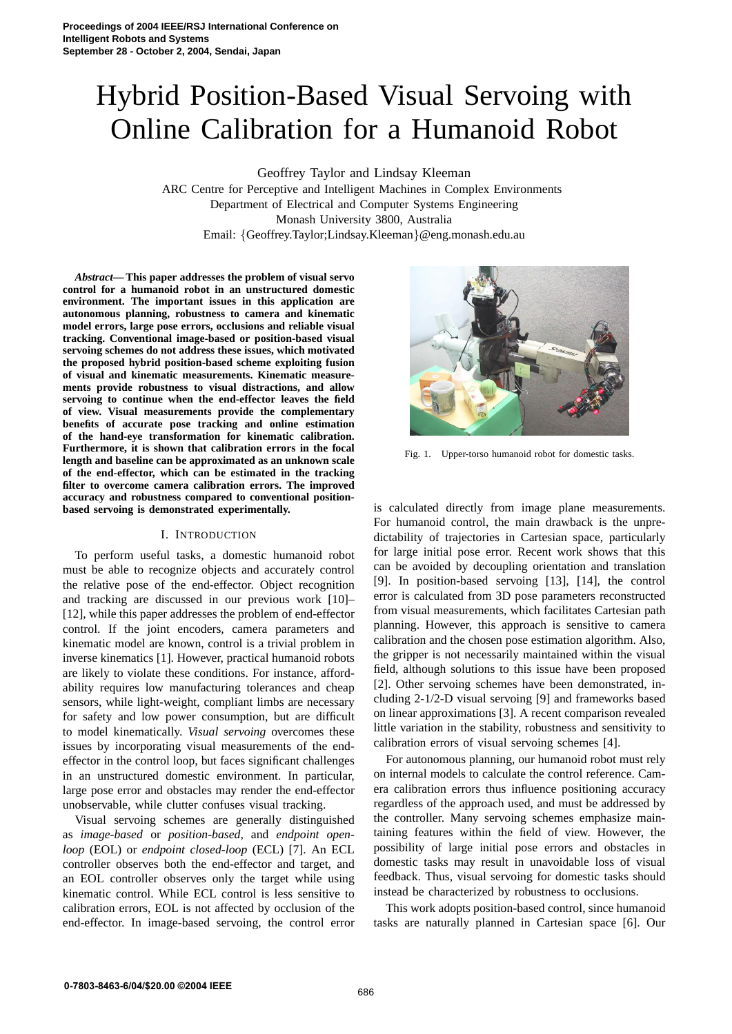# Hybrid Position-Based Visual Servoing with Online Calibration for a Humanoid Robot

Geoffrey Taylor and Lindsay Kleeman

ARC Centre for Perceptive and Intelligent Machines in Complex Environments Department of Electrical and Computer Systems Engineering Monash University 3800, Australia Email: {Geoffrey.Taylor;Lindsay.Kleeman}@eng.monash.edu.au

*Abstract***— This paper addresses the problem of visual servo control for a humanoid robot in an unstructured domestic environment. The important issues in this application are autonomous planning, robustness to camera and kinematic model errors, large pose errors, occlusions and reliable visual tracking. Conventional image-based or position-based visual servoing schemes do not address these issues, which motivated the proposed hybrid position-based scheme exploiting fusion of visual and kinematic measurements. Kinematic measurements provide robustness to visual distractions, and allow servoing to continue when the end-effector leaves the field of view. Visual measurements provide the complementary benefits of accurate pose tracking and online estimation of the hand-eye transformation for kinematic calibration. Furthermore, it is shown that calibration errors in the focal length and baseline can be approximated as an unknown scale of the end-effector, which can be estimated in the tracking filter to overcome camera calibration errors. The improved accuracy and robustness compared to conventional positionbased servoing is demonstrated experimentally.**

## I. INTRODUCTION

To perform useful tasks, a domestic humanoid robot must be able to recognize objects and accurately control the relative pose of the end-effector. Object recognition and tracking are discussed in our previous work [10]– [12], while this paper addresses the problem of end-effector control. If the joint encoders, camera parameters and kinematic model are known, control is a trivial problem in inverse kinematics [1]. However, practical humanoid robots are likely to violate these conditions. For instance, affordability requires low manufacturing tolerances and cheap sensors, while light-weight, compliant limbs are necessary for safety and low power consumption, but are difficult to model kinematically. *Visual servoing* overcomes these issues by incorporating visual measurements of the endeffector in the control loop, but faces significant challenges in an unstructured domestic environment. In particular, large pose error and obstacles may render the end-effector unobservable, while clutter confuses visual tracking.

Visual servoing schemes are generally distinguished as *image-based* or *position-based*, and *endpoint openloop* (EOL) or *endpoint closed-loop* (ECL) [7]. An ECL controller observes both the end-effector and target, and an EOL controller observes only the target while using kinematic control. While ECL control is less sensitive to calibration errors, EOL is not affected by occlusion of the end-effector. In image-based servoing, the control error



Fig. 1. Upper-torso humanoid robot for domestic tasks.

is calculated directly from image plane measurements. For humanoid control, the main drawback is the unpredictability of trajectories in Cartesian space, particularly for large initial pose error. Recent work shows that this can be avoided by decoupling orientation and translation [9]. In position-based servoing [13], [14], the control error is calculated from 3D pose parameters reconstructed from visual measurements, which facilitates Cartesian path planning. However, this approach is sensitive to camera calibration and the chosen pose estimation algorithm. Also, the gripper is not necessarily maintained within the visual field, although solutions to this issue have been proposed [2]. Other servoing schemes have been demonstrated, including 2-1/2-D visual servoing [9] and frameworks based on linear approximations [3]. A recent comparison revealed little variation in the stability, robustness and sensitivity to calibration errors of visual servoing schemes [4].

For autonomous planning, our humanoid robot must rely on internal models to calculate the control reference. Camera calibration errors thus influence positioning accuracy regardless of the approach used, and must be addressed by the controller. Many servoing schemes emphasize maintaining features within the field of view. However, the possibility of large initial pose errors and obstacles in domestic tasks may result in unavoidable loss of visual feedback. Thus, visual servoing for domestic tasks should instead be characterized by robustness to occlusions.

This work adopts position-based control, since humanoid tasks are naturally planned in Cartesian space [6]. Our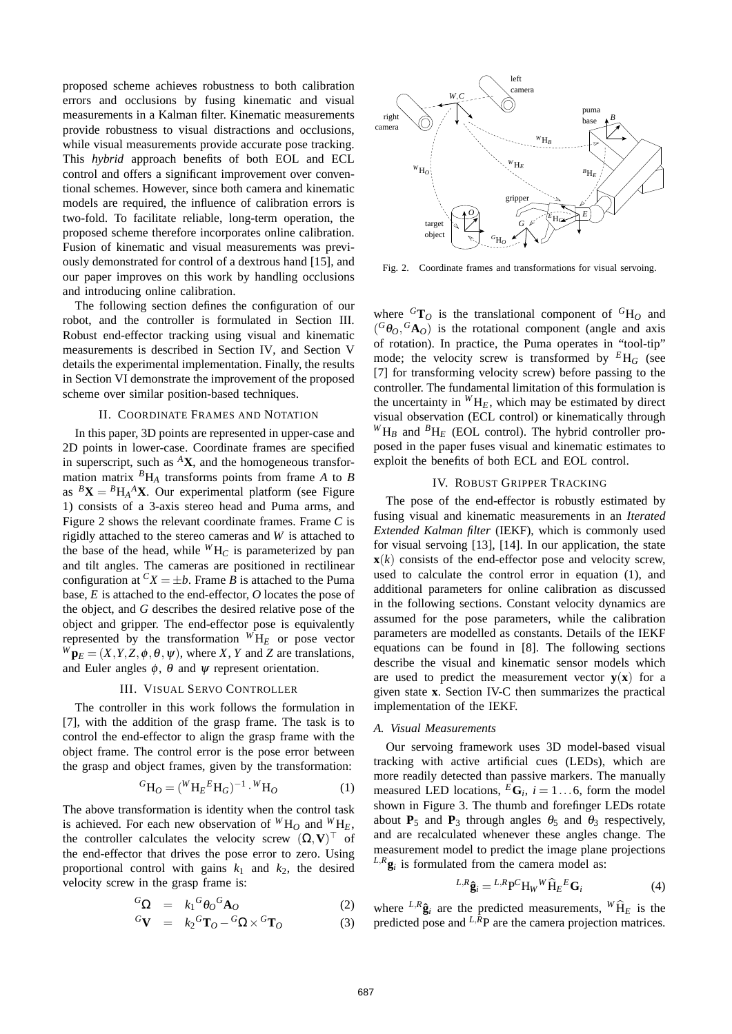proposed scheme achieves robustness to both calibration errors and occlusions by fusing kinematic and visual measurements in a Kalman filter. Kinematic measurements provide robustness to visual distractions and occlusions, while visual measurements provide accurate pose tracking. This *hybrid* approach benefits of both EOL and ECL control and offers a significant improvement over conventional schemes. However, since both camera and kinematic models are required, the influence of calibration errors is two-fold. To facilitate reliable, long-term operation, the proposed scheme therefore incorporates online calibration. Fusion of kinematic and visual measurements was previously demonstrated for control of a dextrous hand [15], and our paper improves on this work by handling occlusions and introducing online calibration.

The following section defines the configuration of our robot, and the controller is formulated in Section III. Robust end-effector tracking using visual and kinematic measurements is described in Section IV, and Section V details the experimental implementation. Finally, the results in Section VI demonstrate the improvement of the proposed scheme over similar position-based techniques.

# II. COORDINATE FRAMES AND NOTATION

In this paper, 3D points are represented in upper-case and 2D points in lower-case. Coordinate frames are specified in superscript, such as  ${}^A$ **X**, and the homogeneous transformation matrix *<sup>B</sup>*H*<sup>A</sup>* transforms points from frame *A* to *B* as  ${}^B$ **X** =  ${}^B$ H<sub>A</sub><sup>A</sup>**X**. Our experimental platform (see Figure 1) consists of a 3-axis stereo head and Puma arms, and Figure 2 shows the relevant coordinate frames. Frame *C* is rigidly attached to the stereo cameras and *W* is attached to the base of the head, while  ${}^WH_C$  is parameterized by pan and tilt angles. The cameras are positioned in rectilinear configuration at  ${}^C X = \pm b$ . Frame *B* is attached to the Puma base, *E* is attached to the end-effector, *O* locates the pose of the object, and *G* describes the desired relative pose of the object and gripper. The end-effector pose is equivalently represented by the transformation  ${}^W H_E$  or pose vector  $W_{\mathbf{p}_E} = (X, Y, Z, \phi, \theta, \psi)$ , where *X*, *Y* and *Z* are translations, and Euler angles  $\phi$ ,  $\theta$  and  $\psi$  represent orientation.

#### III. VISUAL SERVO CONTROLLER

The controller in this work follows the formulation in [7], with the addition of the grasp frame. The task is to control the end-effector to align the grasp frame with the object frame. The control error is the pose error between the grasp and object frames, given by the transformation:

$$
{}^{G}\mathrm{H}_{O} = ({}^{W}\mathrm{H}_{E}{}^{E}\mathrm{H}_{G})^{-1} \cdot {}^{W}\mathrm{H}_{O} \tag{1}
$$

The above transformation is identity when the control task is achieved. For each new observation of  ${}^W H_0$  and  ${}^W H_E$ , the controller calculates the velocity screw  $(\Omega, V)$ <sup>T</sup> of the end-effector that drives the pose error to zero. Using proportional control with gains  $k_1$  and  $k_2$ , the desired velocity screw in the grasp frame is:

$$
{}^{G}\Omega = k_{1}{}^{G}\theta_{O}{}^{G}\mathbf{A}_{O} \tag{2}
$$

$$
{}^{G}\mathbf{V} = k_2 {}^{G}\mathbf{T}_O - {}^{G}\Omega \times {}^{G}\mathbf{T}_O \tag{3}
$$



Fig. 2. Coordinate frames and transformations for visual servoing.

where  ${}^{G}T_{O}$  is the translational component of  ${}^{G}H_{O}$  and  $({}^{G}\theta_{O}, {}^{G}\mathbf{A}_{O})$  is the rotational component (angle and axis of rotation). In practice, the Puma operates in "tool-tip" mode; the velocity screw is transformed by  $^{E}H_{G}$  (see [7] for transforming velocity screw) before passing to the controller. The fundamental limitation of this formulation is the uncertainty in  ${}^WH_E$ , which may be estimated by direct visual observation (ECL control) or kinematically through  ${}^WH_B$  and  ${}^BH_E$  (EOL control). The hybrid controller proposed in the paper fuses visual and kinematic estimates to exploit the benefits of both ECL and EOL control.

# IV. ROBUST GRIPPER TRACKING

The pose of the end-effector is robustly estimated by fusing visual and kinematic measurements in an *Iterated Extended Kalman filter* (IEKF), which is commonly used for visual servoing [13], [14]. In our application, the state  $\mathbf{x}(k)$  consists of the end-effector pose and velocity screw, used to calculate the control error in equation (1), and additional parameters for online calibration as discussed in the following sections. Constant velocity dynamics are assumed for the pose parameters, while the calibration parameters are modelled as constants. Details of the IEKF equations can be found in [8]. The following sections describe the visual and kinematic sensor models which are used to predict the measurement vector  $y(x)$  for a given state **x**. Section IV-C then summarizes the practical implementation of the IEKF.

# *A. Visual Measurements*

Our servoing framework uses 3D model-based visual tracking with active artificial cues (LEDs), which are more readily detected than passive markers. The manually measured LED locations,  $^E$ **G**<sub>*i*</sub>,  $i = 1...6$ , form the model shown in Figure 3. The thumb and forefinger LEDs rotate about **P**<sub>5</sub> and **P**<sub>3</sub> through angles  $\theta_5$  and  $\theta_3$  respectively, and are recalculated whenever these angles change. The measurement model to predict the image plane projections  $L, R$ **g**<sub>*i*</sub> is formulated from the camera model as:

$$
{}^{L,R}\hat{\mathbf{g}}_i = {}^{L,R}\mathbf{P}^C\mathbf{H}_W{}^W\widehat{\mathbf{H}}_E{}^E\mathbf{G}_i
$$
 (4)

where  $L, R\hat{\mathbf{g}}_i$  are the predicted measurements,  $W\hat{H}_E$  is the predicted pose and  $L,$  $R$ P are the camera projection matrices.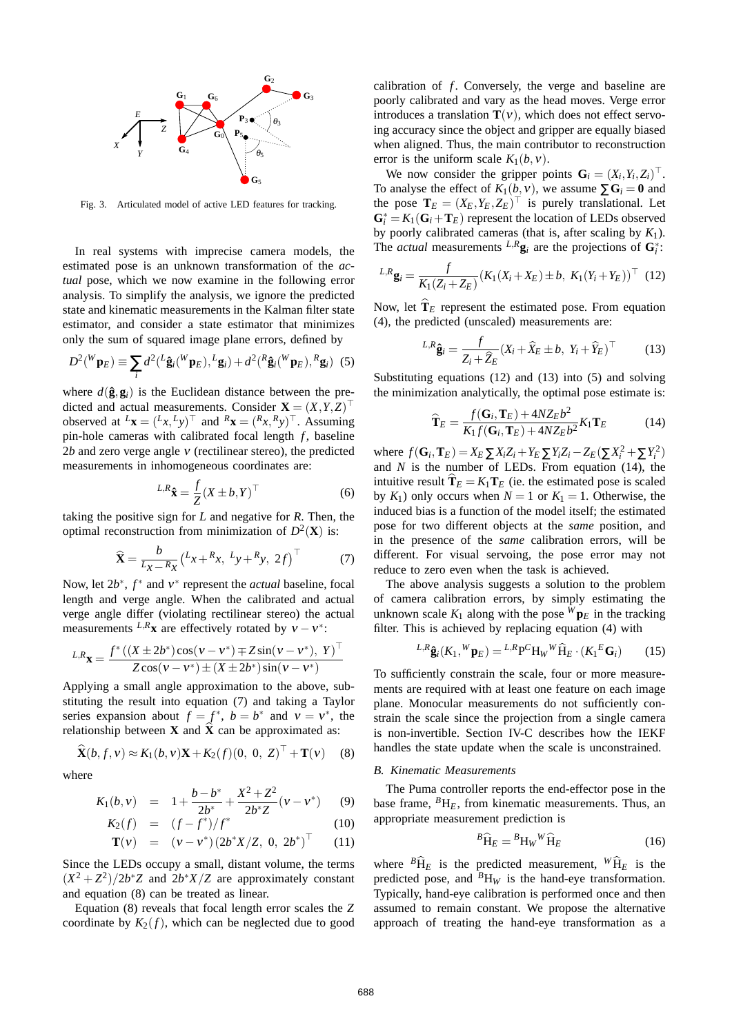

Fig. 3. Articulated model of active LED features for tracking.

In real systems with imprecise camera models, the estimated pose is an unknown transformation of the *actual* pose, which we now examine in the following error analysis. To simplify the analysis, we ignore the predicted state and kinematic measurements in the Kalman filter state estimator, and consider a state estimator that minimizes only the sum of squared image plane errors, defined by

$$
D^{2}(^W \mathbf{p}_E) \equiv \sum_{i} d^{2} (^L \hat{\mathbf{g}}_i(^W \mathbf{p}_E), ^L \mathbf{g}_i) + d^{2} (^R \hat{\mathbf{g}}_i(^W \mathbf{p}_E), ^R \mathbf{g}_i) \tag{5}
$$

where  $d(\hat{\mathbf{g}}, \mathbf{g}_i)$  is the Euclidean distance between the predicted and actual measurements. Consider  $\mathbf{X} = (X, Y, Z)^\top$ observed at  $^L$ **x** =  $(^Lx, ^Ly)$ <sup>T</sup> and  $^R$ **x** =  $(^Rx, ^Ry)$ <sup>T</sup>. Assuming pin-hole cameras with calibrated focal length *f*, baseline 2*b* and zero verge angle ν (rectilinear stereo), the predicted measurements in inhomogeneous coordinates are:

$$
L, R\hat{\mathbf{x}} = \frac{f}{Z}(X \pm b, Y)^{\top}
$$
 (6)

taking the positive sign for *L* and negative for *R*. Then, the optimal reconstruction from minimization of  $D^2(\mathbf{X})$  is:

$$
\widehat{\mathbf{X}} = \frac{b}{L_X - R_X} \left( L_X + R_X, L_Y + R_Y, 2f \right)^{\top} \tag{7}
$$

Now, let 2*b*<sup>\*</sup>, *f*<sup>\*</sup> and *ν*<sup>\*</sup> represent the *actual* baseline, focal length and verge angle. When the calibrated and actual verge angle differ (violating rectilinear stereo) the actual measurements  $L, R$ **x** are effectively rotated by  $v - v^*$ :

$$
L R_{\mathbf{X}} = \frac{f^* ((X \pm 2b^*) \cos(\mathbf{v} - \mathbf{v}^*) \mp Z \sin(\mathbf{v} - \mathbf{v}^*), Y)^\top}{Z \cos(\mathbf{v} - \mathbf{v}^*) \pm (X \pm 2b^*) \sin(\mathbf{v} - \mathbf{v}^*)}
$$

Applying a small angle approximation to the above, substituting the result into equation (7) and taking a Taylor series expansion about  $f = f^*$ ,  $b = b^*$  and  $v = v^*$ , the relationship between **X** and  $\hat{\mathbf{X}}$  can be approximated as:

$$
\widehat{\mathbf{X}}(b,f,v) \approx K_1(b,v) \mathbf{X} + K_2(f)(0, 0, Z)^\top + \mathbf{T}(v) \quad (8)
$$

where

$$
K_1(b,\mathbf{v}) = 1 + \frac{b - b^*}{2b^*} + \frac{X^2 + Z^2}{2b^*Z}(\mathbf{v} - \mathbf{v}^*)
$$
 (9)

$$
K_2(f) = (f - f^*)/f^* \tag{10}
$$

$$
\mathbf{T}(v) = (v - v^*)(2b^*X/Z, 0, 2b^*)^{\top} \qquad (11)
$$

Since the LEDs occupy a small, distant volume, the terms  $(X^2 + Z^2)/2b^*Z$  and  $2b^*X/Z$  are approximately constant and equation (8) can be treated as linear.

Equation (8) reveals that focal length error scales the *Z* coordinate by  $K_2(f)$ , which can be neglected due to good calibration of *f*. Conversely, the verge and baseline are poorly calibrated and vary as the head moves. Verge error introduces a translation  $T(v)$ , which does not effect servoing accuracy since the object and gripper are equally biased when aligned. Thus, the main contributor to reconstruction error is the uniform scale  $K_1(b, v)$ .

We now consider the gripper points  $\mathbf{G}_i = (X_i, Y_i, Z_i)^\top$ . To analyse the effect of  $K_1(b, v)$ , we assume  $\sum G_i = 0$  and the pose  $\mathbf{T}_E = (X_E, Y_E, Z_E)^\top$  is purely translational. Let  $\mathbf{G}_i^* = K_1(\mathbf{G}_i + \mathbf{T}_E)$  represent the location of LEDs observed by poorly calibrated cameras (that is, after scaling by *K*1). The *actual* measurements  $L$ <sup>*R*</sup> $\mathbf{g}_i$ </sup> are the projections of  $\mathbf{G}_i^*$ :

$$
L_{i}R_{\mathbf{g}_{i}} = \frac{f}{K_{1}(Z_{i} + Z_{E})}(K_{1}(X_{i} + X_{E}) \pm b, K_{1}(Y_{i} + Y_{E}))^{\top}
$$
 (12)

Now, let  $\hat{\mathbf{T}}_E$  represent the estimated pose. From equation (4), the predicted (unscaled) measurements are:

$$
L_{i}R\hat{\mathbf{g}}_{i} = \frac{f}{Z_{i} + \widehat{Z}_{E}} (X_{i} + \widehat{X}_{E} \pm b, Y_{i} + \widehat{Y}_{E})^{\top}
$$
(13)

Substituting equations (12) and (13) into (5) and solving the minimization analytically, the optimal pose estimate is:

$$
\widehat{\mathbf{T}}_E = \frac{f(\mathbf{G}_i, \mathbf{T}_E) + 4NZ_Eb^2}{K_1f(\mathbf{G}_i, \mathbf{T}_E) + 4NZ_Eb^2}K_1\mathbf{T}_E
$$
(14)

where  $f(\mathbf{G}_i, \mathbf{T}_E) = X_E \sum X_i Z_i + Y_E \sum Y_i Z_i - Z_E (\sum X_i^2 + \sum Y_i^2)$ and  $N$  is the number of LEDs. From equation  $(14)$ , the intuitive result  $\hat{\mathbf{T}}_E = K_1 \mathbf{T}_E$  (ie. the estimated pose is scaled by  $K_1$ ) only occurs when  $N = 1$  or  $K_1 = 1$ . Otherwise, the induced bias is a function of the model itself; the estimated pose for two different objects at the *same* position, and in the presence of the *same* calibration errors, will be different. For visual servoing, the pose error may not reduce to zero even when the task is achieved.

The above analysis suggests a solution to the problem of camera calibration errors, by simply estimating the unknown scale  $K_1$  along with the pose  $^{\bar{W}}\mathbf{p}_E$  in the tracking filter. This is achieved by replacing equation (4) with

$$
{}^{L,R}\hat{\mathbf{g}}_i(K_1,{}^W\mathbf{p}_E) = {}^{L,R}\mathbf{P}^C\mathbf{H}_W{}^W\widehat{\mathbf{H}}_E \cdot (K_1{}^E\mathbf{G}_i) \tag{15}
$$

To sufficiently constrain the scale, four or more measurements are required with at least one feature on each image plane. Monocular measurements do not sufficiently constrain the scale since the projection from a single camera is non-invertible. Section IV-C describes how the IEKF handles the state update when the scale is unconstrained.

#### *B. Kinematic Measurements*

The Puma controller reports the end-effector pose in the base frame,  $^{B}H_{E}$ , from kinematic measurements. Thus, an appropriate measurement prediction is

$$
{}^{B}\widehat{\mathbf{H}}_{E} = {}^{B}\mathbf{H}_{W} {}^{W}\widehat{\mathbf{H}}_{E} \tag{16}
$$

where  ${}^{B}\hat{H}_{E}$  is the predicted measurement,  ${}^{W}\hat{H}_{E}$  is the predicted pose, and  $B_{\text{H}_W}$  is the hand-eye transformation. Typically, hand-eye calibration is performed once and then assumed to remain constant. We propose the alternative approach of treating the hand-eye transformation as a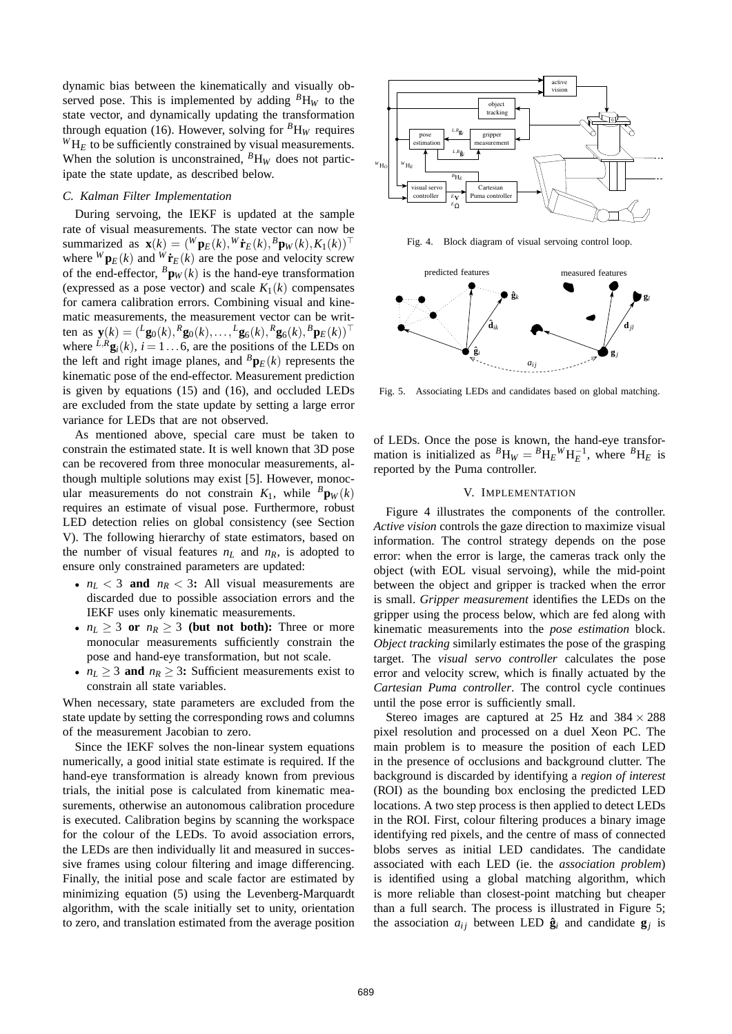dynamic bias between the kinematically and visually observed pose. This is implemented by adding  ${}^B H_W$  to the state vector, and dynamically updating the transformation through equation (16). However, solving for  ${}^B H_W$  requires  ${}^W H_E$  to be sufficiently constrained by visual measurements. When the solution is unconstrained,  ${}^B H_W$  does not participate the state update, as described below.

# *C. Kalman Filter Implementation*

During servoing, the IEKF is updated at the sample rate of visual measurements. The state vector can now be summarized as  $\mathbf{x}(k) = (\mathbf{W}\mathbf{p}_E(k), \mathbf{W}\mathbf{\dot{r}}_E(k), \mathbf{B}\mathbf{p}_W(k), K_1(k))^{\top}$ where  $^{W}$ **p**<sub>E</sub>(*k*) and  $^{W}$ **r**<sup>*E*</sup>(*k*) are the pose and velocity screw of the end-effector,  ${}^B\mathbf{p}_W(k)$  is the hand-eye transformation (expressed as a pose vector) and scale  $K_1(k)$  compensates for camera calibration errors. Combining visual and kinematic measurements, the measurement vector can be writ- $\text{then as } \mathbf{y}(k) = (\frac{L}{20}(k), \frac{R}{20}(k), \dots, \frac{L}{20}(k), \frac{R}{20}(k), \frac{B}{20}(k))$ <sup>T</sup> where  $\frac{L}{R}$ **g**<sub>*i*</sub>(*k*), *i* = 1...6, are the positions of the LEDs on the left and right image planes, and  ${}^B\mathbf{p}_E(k)$  represents the kinematic pose of the end-effector. Measurement prediction is given by equations (15) and (16), and occluded LEDs are excluded from the state update by setting a large error variance for LEDs that are not observed.

As mentioned above, special care must be taken to constrain the estimated state. It is well known that 3D pose can be recovered from three monocular measurements, although multiple solutions may exist [5]. However, monocular measurements do not constrain  $K_1$ , while  ${}^B\mathbf{p}_W(k)$ requires an estimate of visual pose. Furthermore, robust LED detection relies on global consistency (see Section V). The following hierarchy of state estimators, based on the number of visual features  $n<sub>L</sub>$  and  $n<sub>R</sub>$ , is adopted to ensure only constrained parameters are updated:

- $n_L < 3$  and  $n_R < 3$ : All visual measurements are discarded due to possible association errors and the IEKF uses only kinematic measurements.
- $n_L \geq 3$  or  $n_R \geq 3$  (but not both): Three or more monocular measurements sufficiently constrain the pose and hand-eye transformation, but not scale.
- $n_L \geq 3$  and  $n_R \geq 3$ : Sufficient measurements exist to constrain all state variables.

When necessary, state parameters are excluded from the state update by setting the corresponding rows and columns of the measurement Jacobian to zero.

Since the IEKF solves the non-linear system equations numerically, a good initial state estimate is required. If the hand-eye transformation is already known from previous trials, the initial pose is calculated from kinematic measurements, otherwise an autonomous calibration procedure is executed. Calibration begins by scanning the workspace for the colour of the LEDs. To avoid association errors, the LEDs are then individually lit and measured in successive frames using colour filtering and image differencing. Finally, the initial pose and scale factor are estimated by minimizing equation (5) using the Levenberg-Marquardt algorithm, with the scale initially set to unity, orientation to zero, and translation estimated from the average position



Fig. 4. Block diagram of visual servoing control loop.



Fig. 5. Associating LEDs and candidates based on global matching.

of LEDs. Once the pose is known, the hand-eye transformation is initialized as  ${}^{B}H_{W} = {}^{B}H_{E}{}^{W}H_{E}^{-1}$ , where  ${}^{B}H_{E}$  is reported by the Puma controller.

#### V. IMPLEMENTATION

Figure 4 illustrates the components of the controller. *Active vision* controls the gaze direction to maximize visual information. The control strategy depends on the pose error: when the error is large, the cameras track only the object (with EOL visual servoing), while the mid-point between the object and gripper is tracked when the error is small. *Gripper measurement* identifies the LEDs on the gripper using the process below, which are fed along with kinematic measurements into the *pose estimation* block. *Object tracking* similarly estimates the pose of the grasping target. The *visual servo controller* calculates the pose error and velocity screw, which is finally actuated by the *Cartesian Puma controller*. The control cycle continues until the pose error is sufficiently small.

Stereo images are captured at 25 Hz and  $384 \times 288$ pixel resolution and processed on a duel Xeon PC. The main problem is to measure the position of each LED in the presence of occlusions and background clutter. The background is discarded by identifying a *region of interest* (ROI) as the bounding box enclosing the predicted LED locations. A two step process is then applied to detect LEDs in the ROI. First, colour filtering produces a binary image identifying red pixels, and the centre of mass of connected blobs serves as initial LED candidates. The candidate associated with each LED (ie. the *association problem*) is identified using a global matching algorithm, which is more reliable than closest-point matching but cheaper than a full search. The process is illustrated in Figure 5; the association  $a_{ij}$  between LED  $\hat{\mathbf{g}}_i$  and candidate  $\mathbf{g}_j$  is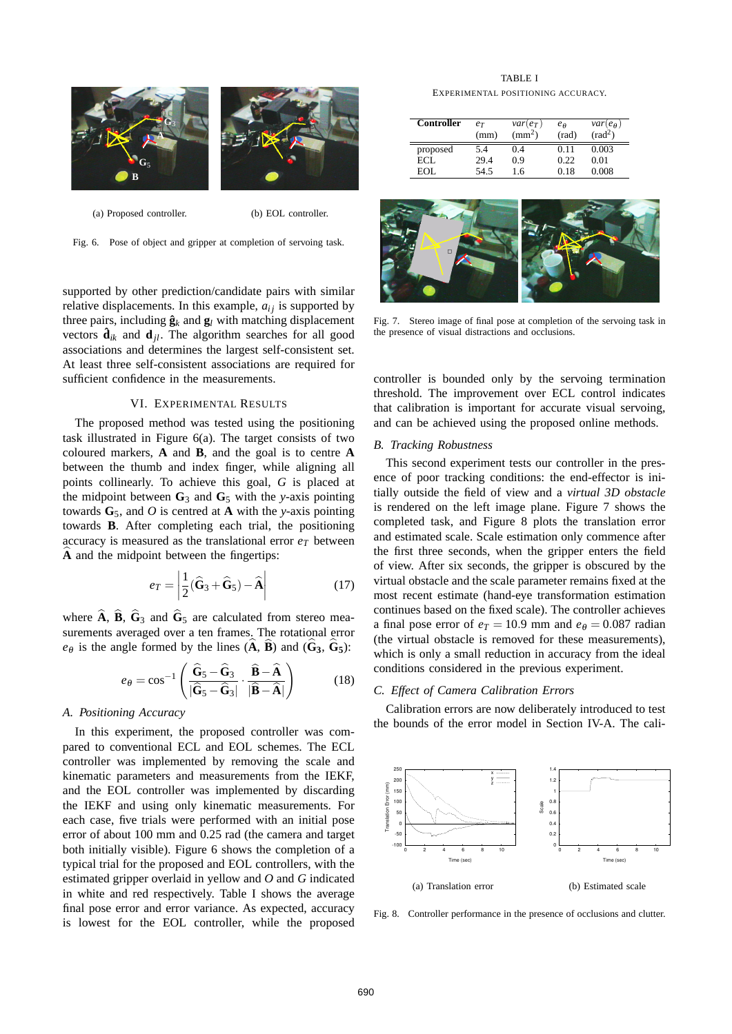

(a) Proposed controller. (b) EOL controller.

Fig. 6. Pose of object and gripper at completion of servoing task.

supported by other prediction/candidate pairs with similar relative displacements. In this example,  $a_{ij}$  is supported by three pairs, including  $\hat{\mathbf{g}}_k$  and  $\mathbf{g}_l$  with matching displacement vectors  $\hat{\mathbf{d}}_{ik}$  and  $\mathbf{d}_{jl}$ . The algorithm searches for all good associations and determines the largest self-consistent set. At least three self-consistent associations are required for sufficient confidence in the measurements.

# VI. EXPERIMENTAL RESULTS

The proposed method was tested using the positioning task illustrated in Figure 6(a). The target consists of two coloured markers, **A** and **B**, and the goal is to centre **A** between the thumb and index finger, while aligning all points collinearly. To achieve this goal, *G* is placed at the midpoint between  $G_3$  and  $G_5$  with the *y*-axis pointing towards  $G_5$ , and *O* is centred at **A** with the *y*-axis pointing towards **B**. After completing each trial, the positioning accuracy is measured as the translational error  $e_T$  between A and the midpoint between the fingertips:

$$
e_T = \left| \frac{1}{2} (\widehat{\mathbf{G}}_3 + \widehat{\mathbf{G}}_5) - \widehat{\mathbf{A}} \right| \tag{17}
$$

where  $\bf{A}$ ,  $\bf{B}$ ,  $\bf{G}_3$  and  $\bf{G}_5$  are calculated from stereo measurements averaged over a ten frames. The rotational error  $e_{\theta}$  is the angle formed by the lines (**A**, **B**) and (**G**<sub>3</sub>, **G**<sub>5</sub>):

$$
e_{\theta} = \cos^{-1}\left(\frac{\widehat{\mathbf{G}}_{5} - \widehat{\mathbf{G}}_{3}}{|\widehat{\mathbf{G}}_{5} - \widehat{\mathbf{G}}_{3}|} \cdot \frac{\widehat{\mathbf{B}} - \widehat{\mathbf{A}}}{|\widehat{\mathbf{B}} - \widehat{\mathbf{A}}|}\right)
$$
(18)

# *A. Positioning Accuracy*

In this experiment, the proposed controller was compared to conventional ECL and EOL schemes. The ECL controller was implemented by removing the scale and kinematic parameters and measurements from the IEKF, and the EOL controller was implemented by discarding the IEKF and using only kinematic measurements. For each case, five trials were performed with an initial pose error of about 100 mm and 0.25 rad (the camera and target both initially visible). Figure 6 shows the completion of a typical trial for the proposed and EOL controllers, with the estimated gripper overlaid in yellow and *O* and *G* indicated in white and red respectively. Table I shows the average final pose error and error variance. As expected, accuracy is lowest for the EOL controller, while the proposed

TABLE I EXPERIMENTAL POSITIONING ACCURACY.

| Controller | $e_T$<br>(mm) | $var(e_T)$<br>$\text{m}^2$ | $e_{\theta}$<br>(rad) | $var(e_{\theta})$<br>$\text{rad}^2$ |
|------------|---------------|----------------------------|-----------------------|-------------------------------------|
| proposed   | 5.4           | 0.4                        | 0.11                  | 0.003                               |
| ECL        | 29.4          | 0.9                        | 0.22                  | 0.01                                |
| EOL.       | 54.5          | 16                         | 0.18                  | 0.008                               |



Fig. 7. Stereo image of final pose at completion of the servoing task in the presence of visual distractions and occlusions.

controller is bounded only by the servoing termination threshold. The improvement over ECL control indicates that calibration is important for accurate visual servoing, and can be achieved using the proposed online methods.

#### *B. Tracking Robustness*

This second experiment tests our controller in the presence of poor tracking conditions: the end-effector is initially outside the field of view and a *virtual 3D obstacle* is rendered on the left image plane. Figure 7 shows the completed task, and Figure 8 plots the translation error and estimated scale. Scale estimation only commence after the first three seconds, when the gripper enters the field of view. After six seconds, the gripper is obscured by the virtual obstacle and the scale parameter remains fixed at the most recent estimate (hand-eye transformation estimation continues based on the fixed scale). The controller achieves a final pose error of  $e_T = 10.9$  mm and  $e_{\theta} = 0.087$  radian (the virtual obstacle is removed for these measurements), which is only a small reduction in accuracy from the ideal conditions considered in the previous experiment.

#### *C. Effect of Camera Calibration Errors*

Calibration errors are now deliberately introduced to test the bounds of the error model in Section IV-A. The cali-



Fig. 8. Controller performance in the presence of occlusions and clutter.